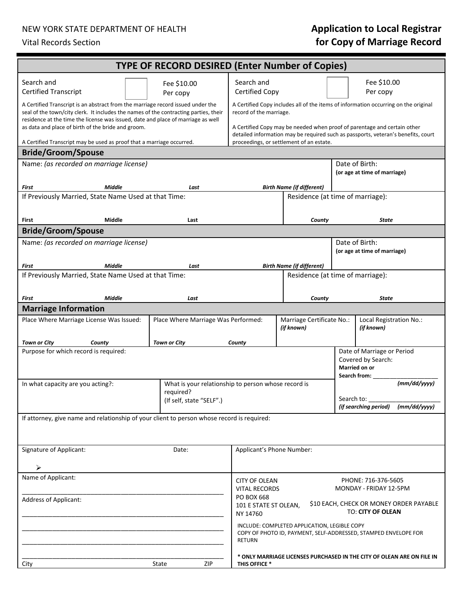### NEW YORK STATE DEPARTMENT OF HEALTH **Application to Local Registrar**

# Vital Records Section **for Copy of Marriage Record**

| <b>TYPE OF RECORD DESIRED (Enter Number of Copies)</b>                                                                                                                                                                                                      |                                                                                                                                                               |                                                                                               |                                                                                                                 |              |                                                |  |
|-------------------------------------------------------------------------------------------------------------------------------------------------------------------------------------------------------------------------------------------------------------|---------------------------------------------------------------------------------------------------------------------------------------------------------------|-----------------------------------------------------------------------------------------------|-----------------------------------------------------------------------------------------------------------------|--------------|------------------------------------------------|--|
| Search and                                                                                                                                                                                                                                                  | Fee \$10.00                                                                                                                                                   | Search and                                                                                    |                                                                                                                 | Fee \$10.00  |                                                |  |
| <b>Certified Transcript</b>                                                                                                                                                                                                                                 | Per copy                                                                                                                                                      | Certified Copy                                                                                |                                                                                                                 |              | Per copy                                       |  |
| A Certified Transcript is an abstract from the marriage record issued under the<br>seal of the town/city clerk. It includes the names of the contracting parties, their<br>residence at the time the license was issued, date and place of marriage as well | A Certified Copy includes all of the items of information occurring on the original<br>record of the marriage.                                                |                                                                                               |                                                                                                                 |              |                                                |  |
| as data and place of birth of the bride and groom.                                                                                                                                                                                                          | A Certified Copy may be needed when proof of parentage and certain other<br>detailed information may be required such as passports, veteran's benefits, court |                                                                                               |                                                                                                                 |              |                                                |  |
| A Certified Transcript may be used as proof that a marriage occurred.<br>proceedings, or settlement of an estate.<br><b>Bride/Groom/Spouse</b>                                                                                                              |                                                                                                                                                               |                                                                                               |                                                                                                                 |              |                                                |  |
| Name: (as recorded on marriage license)                                                                                                                                                                                                                     |                                                                                                                                                               | Date of Birth:                                                                                |                                                                                                                 |              |                                                |  |
|                                                                                                                                                                                                                                                             | (or age at time of marriage)                                                                                                                                  |                                                                                               |                                                                                                                 |              |                                                |  |
| <b>Middle</b><br>First                                                                                                                                                                                                                                      | Last                                                                                                                                                          | <b>Birth Name (if different)</b>                                                              |                                                                                                                 |              |                                                |  |
| If Previously Married, State Name Used at that Time:                                                                                                                                                                                                        |                                                                                                                                                               | Residence (at time of marriage):                                                              |                                                                                                                 |              |                                                |  |
| Middle<br>First                                                                                                                                                                                                                                             | Last                                                                                                                                                          |                                                                                               | County                                                                                                          |              | <b>State</b>                                   |  |
| <b>Bride/Groom/Spouse</b>                                                                                                                                                                                                                                   |                                                                                                                                                               |                                                                                               |                                                                                                                 |              |                                                |  |
| Name: (as recorded on marriage license)                                                                                                                                                                                                                     |                                                                                                                                                               |                                                                                               |                                                                                                                 |              | Date of Birth:<br>(or age at time of marriage) |  |
| <b>Middle</b><br>First                                                                                                                                                                                                                                      | Last                                                                                                                                                          |                                                                                               | <b>Birth Name (if different)</b>                                                                                |              |                                                |  |
| If Previously Married, State Name Used at that Time:                                                                                                                                                                                                        |                                                                                                                                                               | Residence (at time of marriage):                                                              |                                                                                                                 |              |                                                |  |
|                                                                                                                                                                                                                                                             |                                                                                                                                                               |                                                                                               |                                                                                                                 |              |                                                |  |
| <b>Middle</b><br>First                                                                                                                                                                                                                                      | Last                                                                                                                                                          |                                                                                               | County                                                                                                          |              | <b>State</b>                                   |  |
| <b>Marriage Information</b>                                                                                                                                                                                                                                 |                                                                                                                                                               |                                                                                               |                                                                                                                 |              |                                                |  |
| Place Where Marriage License Was Issued:                                                                                                                                                                                                                    | Place Where Marriage Was Performed:                                                                                                                           |                                                                                               | Marriage Certificate No.:<br>(if known)                                                                         |              | Local Registration No.:<br>(if known)          |  |
| <b>Town or City</b><br>County                                                                                                                                                                                                                               | <b>Town or City</b>                                                                                                                                           | County                                                                                        |                                                                                                                 |              |                                                |  |
| Purpose for which record is required:<br>Date of Marriage or Period<br>Covered by Search:                                                                                                                                                                   |                                                                                                                                                               |                                                                                               |                                                                                                                 |              |                                                |  |
|                                                                                                                                                                                                                                                             |                                                                                                                                                               | <b>Married on or</b>                                                                          |                                                                                                                 |              |                                                |  |
|                                                                                                                                                                                                                                                             |                                                                                                                                                               | Search from:<br>What is your relationship to person whose record is                           |                                                                                                                 |              |                                                |  |
| In what capacity are you acting?:                                                                                                                                                                                                                           |                                                                                                                                                               |                                                                                               |                                                                                                                 | (mm/dd/yyyy) |                                                |  |
|                                                                                                                                                                                                                                                             |                                                                                                                                                               |                                                                                               |                                                                                                                 | Search to:   |                                                |  |
| (if searching period)<br>(mm/dd/yyyy)<br>If attorney, give name and relationship of your client to person whose record is required:                                                                                                                         |                                                                                                                                                               |                                                                                               |                                                                                                                 |              |                                                |  |
|                                                                                                                                                                                                                                                             |                                                                                                                                                               |                                                                                               |                                                                                                                 |              |                                                |  |
|                                                                                                                                                                                                                                                             |                                                                                                                                                               |                                                                                               |                                                                                                                 |              |                                                |  |
| Signature of Applicant:                                                                                                                                                                                                                                     | Date:                                                                                                                                                         |                                                                                               | Applicant's Phone Number:                                                                                       |              |                                                |  |
| ➤<br>Name of Applicant:                                                                                                                                                                                                                                     |                                                                                                                                                               |                                                                                               |                                                                                                                 |              |                                                |  |
|                                                                                                                                                                                                                                                             |                                                                                                                                                               | PHONE: 716-376-5605<br><b>CITY OF OLEAN</b><br>MONDAY - FRIDAY 12-5PM<br><b>VITAL RECORDS</b> |                                                                                                                 |              |                                                |  |
| Address of Applicant:                                                                                                                                                                                                                                       | PO BOX 668<br>NY 14760                                                                                                                                        | \$10 EACH, CHECK OR MONEY ORDER PAYABLE<br>101 E STATE ST OLEAN,<br>TO: CITY OF OLEAN         |                                                                                                                 |              |                                                |  |
|                                                                                                                                                                                                                                                             |                                                                                                                                                               | <b>RETURN</b>                                                                                 | INCLUDE: COMPLETED APPLICATION, LEGIBLE COPY<br>COPY OF PHOTO ID, PAYMENT, SELF-ADDRESSED, STAMPED ENVELOPE FOR |              |                                                |  |
| City                                                                                                                                                                                                                                                        | ZIP<br>State                                                                                                                                                  | THIS OFFICE *                                                                                 | * ONLY MARRIAGE LICENSES PURCHASED IN THE CITY OF OLEAN ARE ON FILE IN                                          |              |                                                |  |